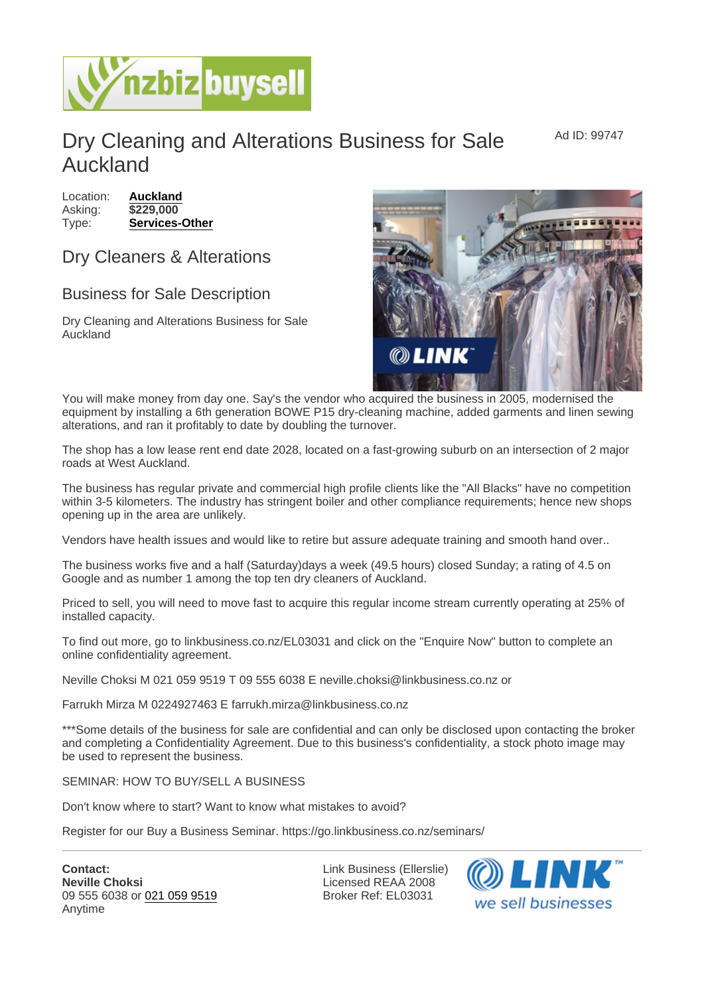## Dry Cleaning and Alterations Business for Sale Auckland

Location: [Auckland](https://www.nzbizbuysell.co.nz/businesses-for-sale/location/Auckland) Asking: \$229,000 Type: [Services-Other](https://www.nzbizbuysell.co.nz/businesses-for-sale/Services/New-Zealand)

## Dry Cleaners & Alterations

## Business for Sale Description

Dry Cleaning and Alterations Business for Sale Auckland

You will make money from day one. Say's the vendor who acquired the business in 2005, modernised the equipment by installing a 6th generation BOWE P15 dry-cleaning machine, added garments and linen sewing alterations, and ran it profitably to date by doubling the turnover.

The shop has a low lease rent end date 2028, located on a fast-growing suburb on an intersection of 2 major roads at West Auckland.

The business has regular private and commercial high profile clients like the "All Blacks" have no competition within 3-5 kilometers. The industry has stringent boiler and other compliance requirements; hence new shops opening up in the area are unlikely.

Vendors have health issues and would like to retire but assure adequate training and smooth hand over..

The business works five and a half (Saturday)days a week (49.5 hours) closed Sunday; a rating of 4.5 on Google and as number 1 among the top ten dry cleaners of Auckland.

Priced to sell, you will need to move fast to acquire this regular income stream currently operating at 25% of installed capacity.

To find out more, go to linkbusiness.co.nz/EL03031 and click on the "Enquire Now" button to complete an online confidentiality agreement.

Neville Choksi M 021 059 9519 T 09 555 6038 E neville.choksi@linkbusiness.co.nz or

Farrukh Mirza M 0224927463 E farrukh.mirza@linkbusiness.co.nz

\*\*\*Some details of the business for sale are confidential and can only be disclosed upon contacting the broker and completing a Confidentiality Agreement. Due to this business's confidentiality, a stock photo image may be used to represent the business.

SEMINAR: HOW TO BUY/SELL A BUSINESS

Don't know where to start? Want to know what mistakes to avoid?

Register for our Buy a Business Seminar. https://go.linkbusiness.co.nz/seminars/

Contact: Neville Choksi 09 555 6038 or [021 059 9519](tel:021 059 9519) Anytime

Link Business (Ellerslie) Licensed REAA 2008 Broker Ref: EL03031